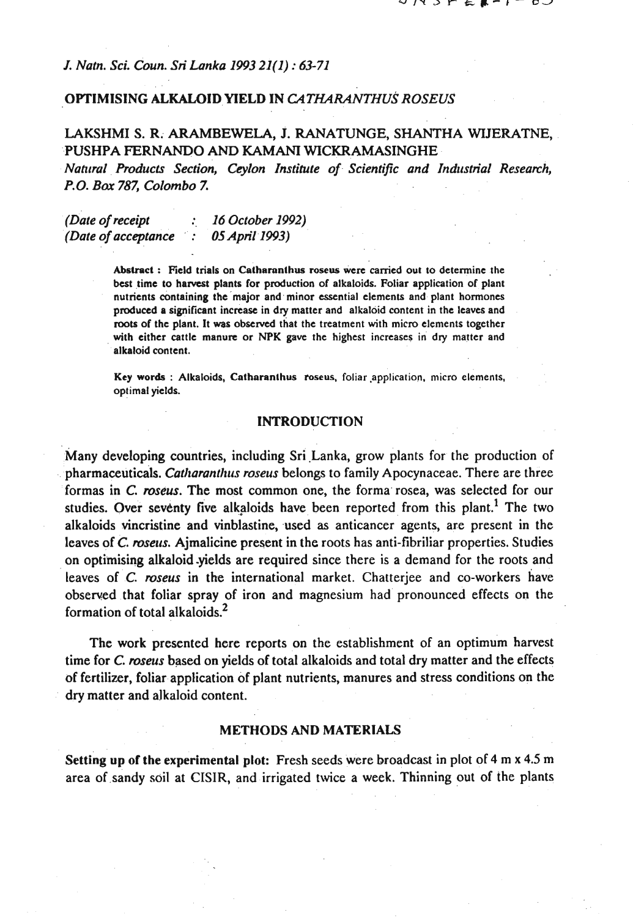### *I. Natn. Sci. Coun.* **Sri** *Lonka 1993 21(1)* : *63-71*

### OPTIMISING ALKALOID YIELD IN *CATHARANTHUS ROSEUS*

# LAKSHMI S. R. ARAMBEWELA, J. RANATUNGE, SHANTHA WIJERATNE, PUSHPA **FERNANDO AND KAMANI** WICKRAMASINGHE

Natural Products Section, Ceylon Institute of Scientific and Industrial Research, *P.O. Bar 787, Colombo 7.* 

*(Date of receipt* : *16 October 1992) (Dote of acceptance* : **<sup>05</sup>***April 1993)* 

> Abstract : Weld trials on Catharnnthua roseus **were** carried out to determine the best time to harvest plants for production of alkaloids. Foliar application of plant nutrients containing the major and minor essential elements and plant hormones produced a significant increase in dry matter and alkaloid content in the leaves and roots of the plant. It was observed that the treatment with micro elements together with either cattle manure or NPK **gave** the highest increases in dry matter and alkaloid content.

> Key words : Alkaloids, Catharanthus roseus, foliar application, micro elements, optimal yields.

# INTRODUCTION

Many developing countries, including Sri Lanka, grow plants for the production of pharmaceuticals. *Catltorantltus roseus* belongs to family Apocynaceae. There are three formas in *C. roseus.* The most common one, the forma rosea, was selected for our studies. Over seventy five alkaloids have been reported from this plant.<sup>1</sup> The two alkaloids vincristine and vinblastine, used as anticancer agents, are present in the leaves of *C. roseus.* Ajmalicine present in the roots has anti-fibriliar properties. Studies on optimising alkaloid .yields are required since there is a demand for the roots and leaves of *C. roseus* in the international market. Chatterjee and co-workers have observed that foliar spray of iron and magnesium had pronounced effects on the formation of total alkaloids. $<sup>2</sup>$ </sup>

The work presented here reports on the establishment of an optimum harvest time for *C. roseus* based on yields of total alkaloids and total dry matter and the effects of fertilizer, foliar application of plant nutrients, manures and stress conditions on the dry matter and alkaloid content.

#### METHODS AND MATERIALS

Setting up of the experimental plot: Fresh seeds were broadcast in plot of 4 m **x** 4.5 m area of sandy soil at CISIR, and irrigated twice a week. Thinning out of the plants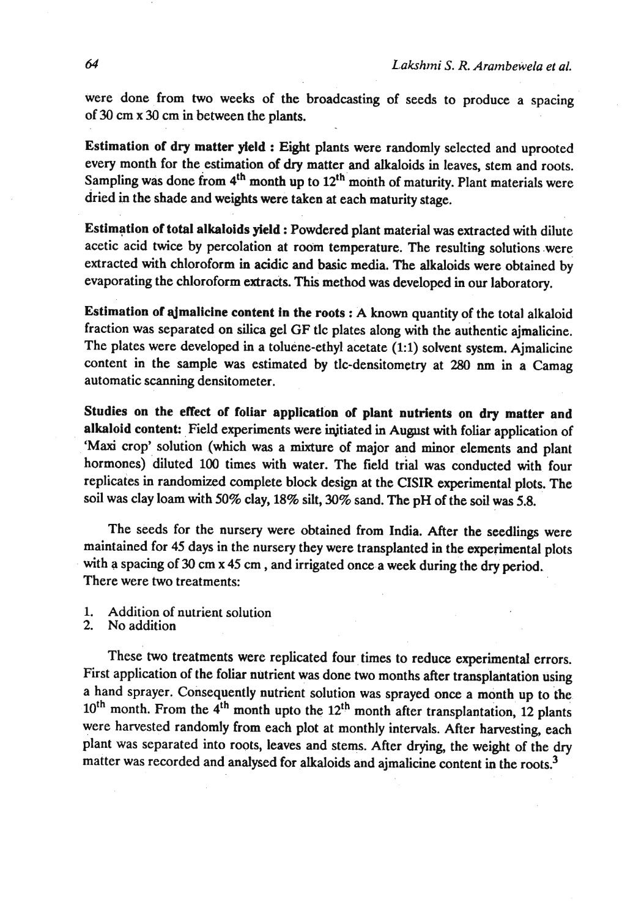were done from two weeks of the broadcasting of seeds to produce a spacing of 30 cm **x** 30 cm in between the plants.

Estimation of dry matter yield : Eight plants were randomly selected and uprooted every month for the estimation of **dry** matter and alkaloids in leaves, stem and roots. Sampling was done from 4<sup>th</sup> month up to 12<sup>th</sup> month of maturity. Plant materials were dried in the shade and weights were taken at each maturity stage.

Estimation of total alkaloids yield : Powdered plant material was extracted with dilute acetic acid **twice** by percolation at room temperature. The resulting solutions .were extracted with chloroform in acidic and basic media. The alkaloids were obtained by evaporating the chloroform extracts. This method was developed in our laboratory.

Estimation of sljmalicine content in the roots : A known quantity of the total alkaloid fraction was separated on silica gel GF tlc plates along with the authentic ajmalicine. The plates were developed in a toluene-ethyl acetate (1:l) solvent system. Ajmalicine content in the sample was estimated by tlc-densitometry at 280 **nm** in a Camag automatic scanning densitometer.

Studies on the effect of foliar application **of** plant nutrients on dry matter and alkaloid content: Field experiments were injtiated in August with foliar application of 'Maxi crop' solution (which was a mixture of major and minor elements and plant hormones) diluted 100 times with water. The field trial was conducted with four replicates in randomized complete block design at the CISIR experimental plots. The soil was clay loam with 50% clay, 18% silt, 30% sand. The pH of the soil was **5.8.** 

The seeds for the nursery were obtained from India. After the seedlings were maintained for **45** days in the nursery they were transplanted in the experimental plots with a spacing of 30 cm **x 45** cm , and irrigated once a week during the dry period. There were two treatments:

- 1. Addition of nutrient solution<br>2. No addition
- No addition

These two treatments were replicated four times to reduce experimental errors. First application of the foliar nutrient was done two months after transplantation using a hand sprayer. Consequently nutrient solution was sprayed once a month up to the 10<sup>th</sup> month. From the 4<sup>th</sup> month upto the 12<sup>th</sup> month after transplantation, 12 plants were harvested randomly from each plot at monthly intervals. After harvesting, each plant was separated into roots, leaves and stems. After drying, the weight of the dry matter was recorded and analysed for alkaloids and ajmalicine content in the roots.<sup>3</sup>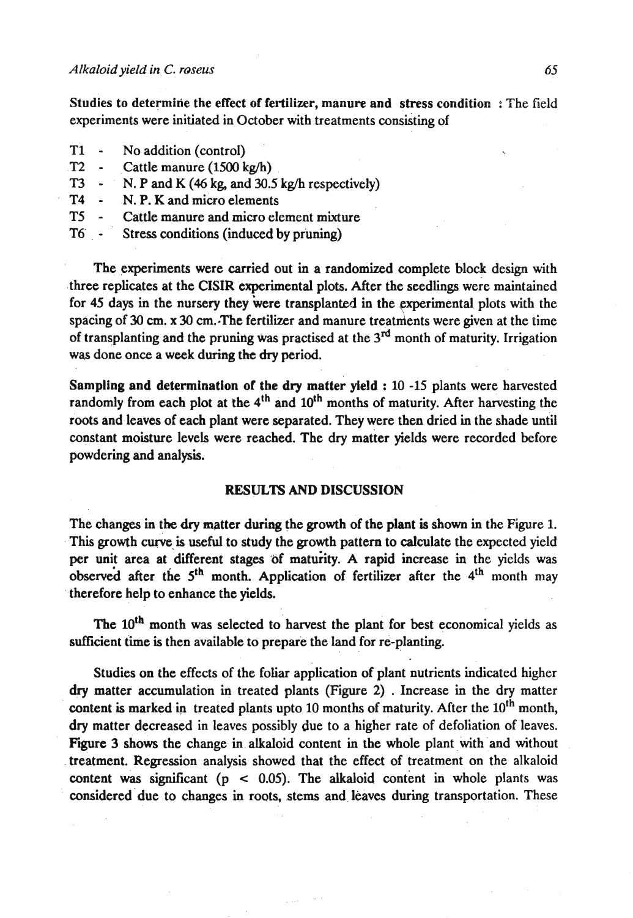Studies to determine the effect of fertilizer, manure and stress condition : The field experiments were initiated in October with treatments consisting of

- **T1**  No addition (control)
- **T2**  Cattle manure **(1500** kg/h)
- **T3**  N. P and **K** (46 kg, and **30.5** kg/h respectively)
- T4 N. P. K and micro elements
- **T5**  Cattle manure and micro element mixture
- **T6'**  Stress conditions (induced by pruning)

The experiments were carried out in a randomized complete block design with three replicates at the CISIR experimental plots. After the seedlings were maintained for 45 days in the nursery they were transplanted in the experimental plots with the spacing of **30 cm. x 30** cm.-The fertilizer and manure treatments were given at the time of transplanting and the pruning was practised at the 3<sup>rd</sup> month of maturity. Irrigation was done once a week during the dry period.

Sampling and determination of the dry matter yield : **10 -15** plants were harvested randomly from each plot at the 4<sup>th</sup> and 10<sup>th</sup> months of maturity. After harvesting the roots and leaves of each plant were separated. They were then dried in the shade until constant moisture levels were reached. The dry matter yields were recorded before powdering and analysis.

# **RESULTS** AND DISCUSSION

The changes in the dry matter during the growth of the plant **is** shown in the Figure 1. This growth curve is useful to study the growth pattern to calculate the expected yield per unit area at different stages of maturity. A rapid increase in the yields was observed after the 5<sup>th</sup> month. Application of fertilizer after the 4<sup>th</sup> month may therefore help to enhance the yields.

The 10<sup>th</sup> month was selected to harvest the plant for best economical yields as sufficient time is then available to prepare the land for re-planting.

Studies on the effects of the foliar application of plant nutrients indicated higher dry matter accumulation in treated plants (Figure 2) . Increase in the dry matter content is marked in treated plants upto 10 months of maturity. After the 10<sup>th</sup> month, dry matter decreased in leaves possibly due to a higher rate of defoliation of leaves. Figure 3 shows the change in alkaloid content in the whole plant with and without treatment. Regression analysis showed that the effect of treatment on the alkaloid content **was** significant (p **c 0.05).** The alkaloid content in whole plants was considered due to changes in roots, stems and leaves during transportation. These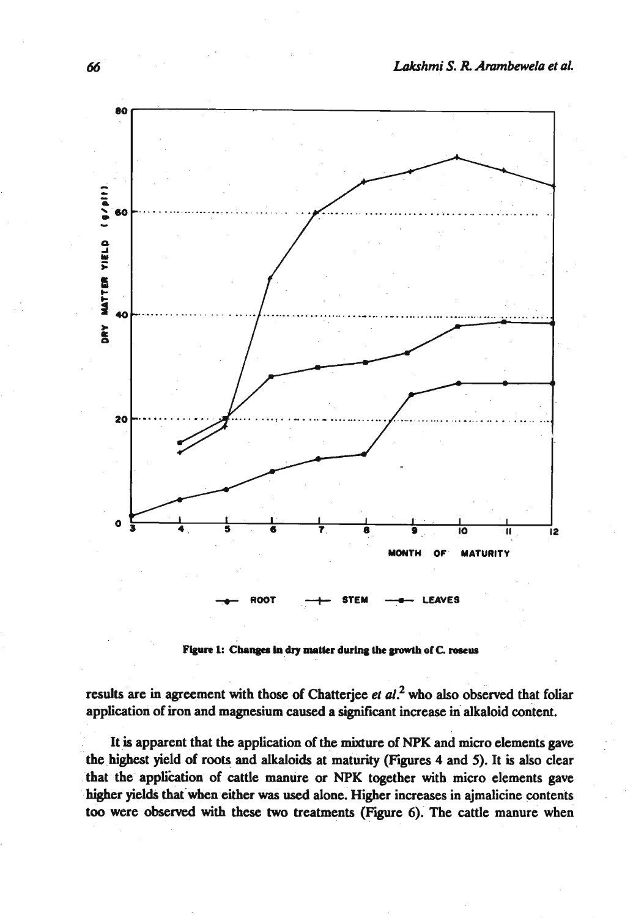

Figure 1: Changes in dry matter during the growth of C. roseus

results are in agreement with those of Chatterjee et al.<sup>2</sup> who also observed that foliar application of iron and magnesium caused a significant increase in alkaloid content.

It is apparent that the application of the mixture of **NPK** and micro elements gave the highest yield of roots and alkaloids at maturity **(Figures** 4 and 5). It is also clear that the application of cattle manure or NPK together with micro elements gave higher yields that when either **was used** alone. Higher increases in ajmalicine contents too were observed with these two treatments (Figure 6). The cattle manure when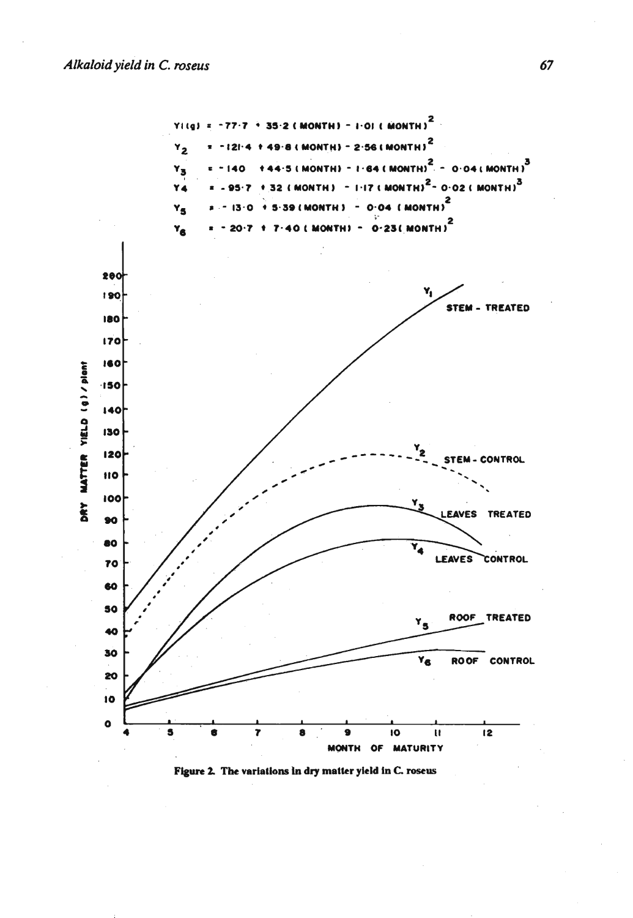

Figure 2. The variations in dry matter yield in C. roseus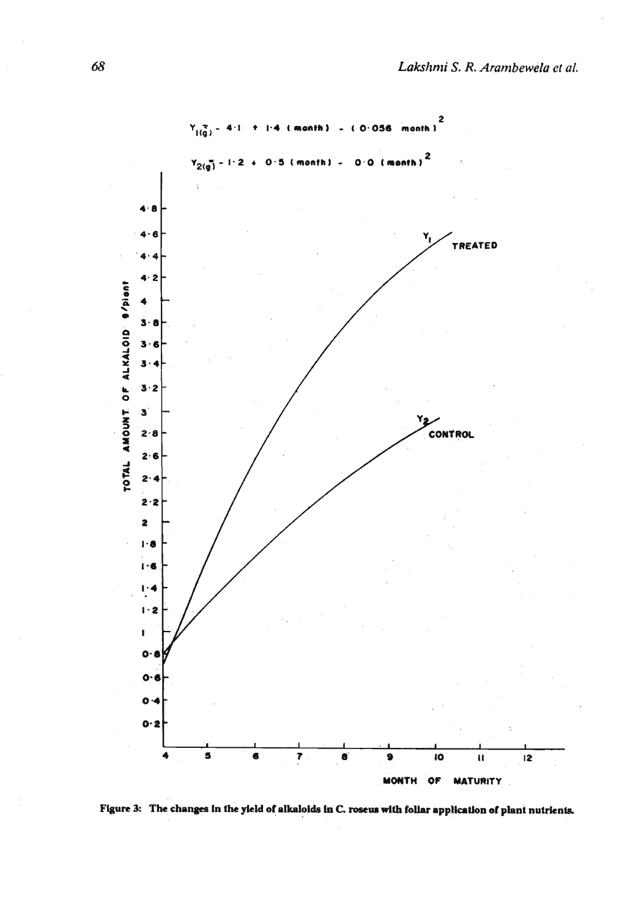

Figure 3: The changes in the yield of alkaloids in C. roseus with foliar application of plant nutrients.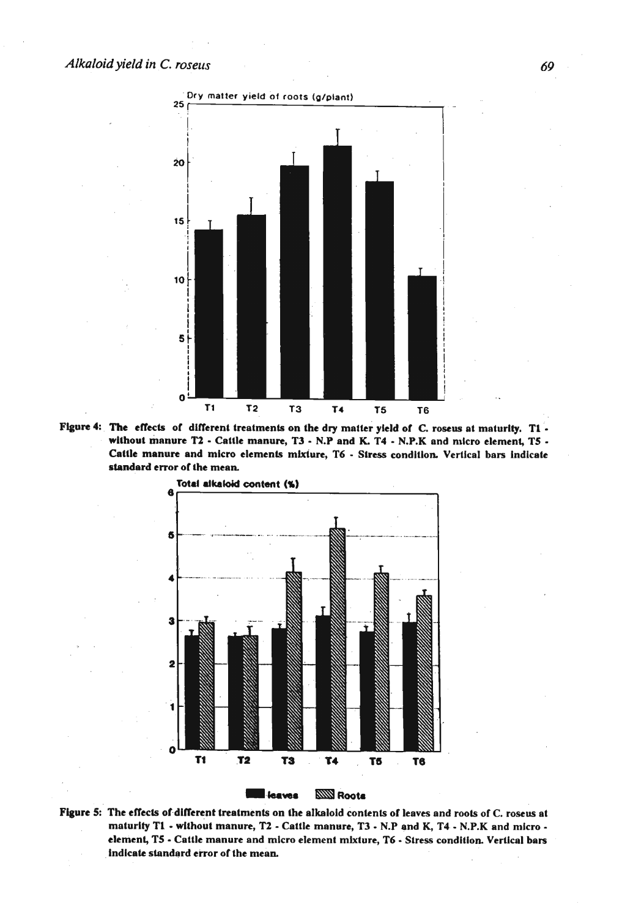

Figure 4: The effects of different treatments on the dry matter yield of C. roseus at maturity. T1 without manure T2 - Cattle manure, T3 - N.P and K. T4 - N.P.K and micro element, T5 -Cattle manure and micro elements mixture, T6 - Stress condition. Vertical bars indicate standard error of the mean.



Figure 5: The effects of different treatments on the alkaloid contents of leaves and roots of C. roseus at maturity T1 - without manure, T2 - Cattle manure, T3 - N.P and K, T4 - N.P.K and micro element, T5 - Cattle manure and micro element mixture, T6 - Stress condition. Vertical bars indicate standard error of the mean.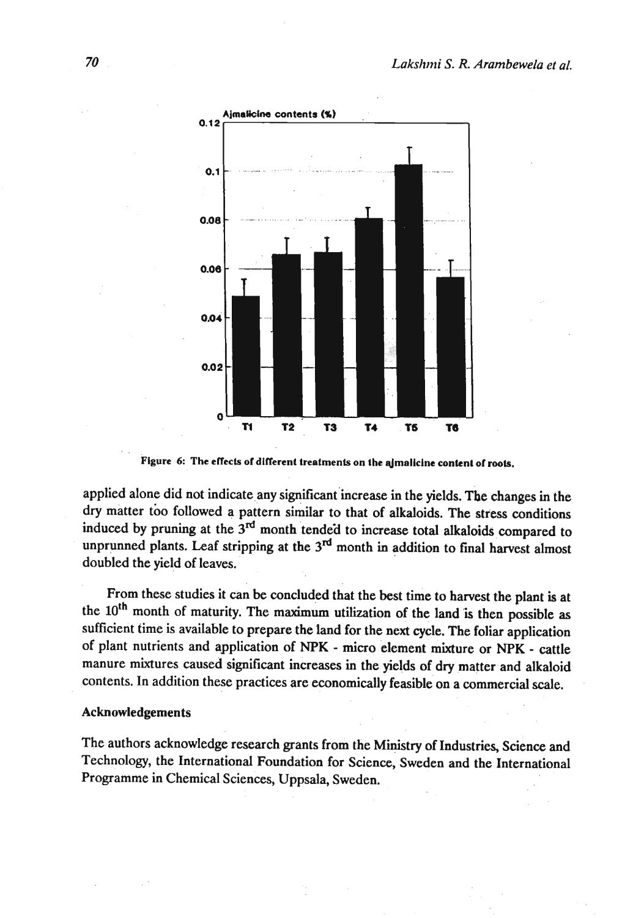

**Figure 6: The eflects of dlflerent treatments on the Jmalklne content of rook.** 

applied alone did not indicate any significant increase in the yields. The changes in the dry matter tbo followed **3** pattern similar to that of alkaloids. The stress conditions induced by pruning at the 3<sup>rd</sup> month tended to increase total alkaloids compared to unprunned plants. Leaf stripping at the 3<sup>rd</sup> month in addition to final harvest almost doubled the yield of leaves.

From these studies it can be concluded that the best time to harvest the plant is at the **loth** month of maturity. The maximum utilization of the land is then possible as sufficient time is available to prepare the land for the next cycle. The foliar application of plant nutrients and application of NPK - micro element mixture or **NPK** - cattle manure mixtures caused significant increases in the yields of dry matter and alkaloid contents. In addition these practices are economically feasible on a commercial scale.

#### **Acknowledgements**

The authors acknowledge research grants from the Ministry of Industries, Science and Technology, the International Foundation for Science, Sweden and the International Programme in Chemical Sciences, Uppsala, Sweden.